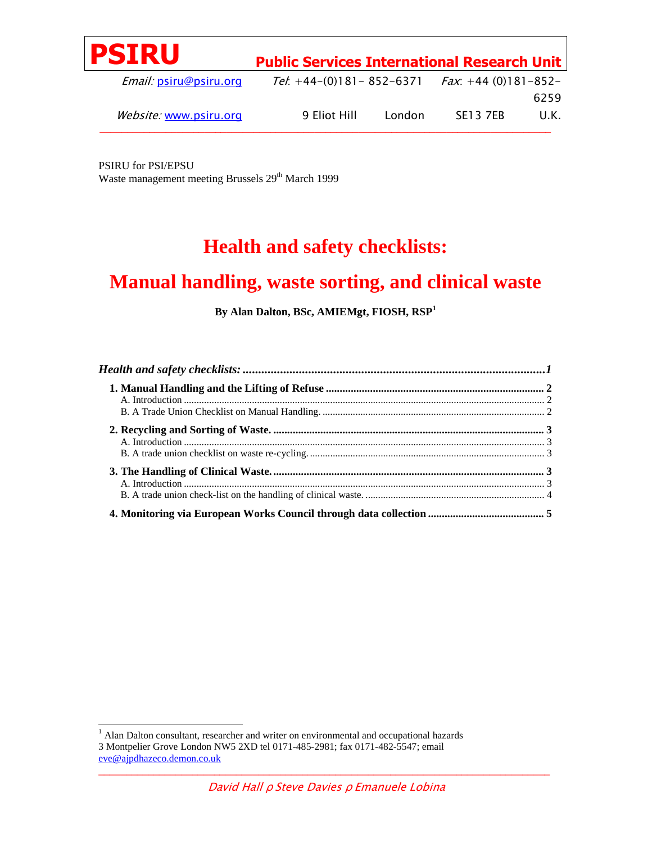|              |        |                 | 6259                                                                                                   |
|--------------|--------|-----------------|--------------------------------------------------------------------------------------------------------|
| 9 Eliot Hill | London | <b>SE13 7EB</b> | U.K.                                                                                                   |
|              |        |                 | <b>Public Services International Research Unit</b><br>Tel: +44-(0)181-852-6371 $Fax$ : +44 (0)181-852- |

PSIRU for PSI/EPSU Waste management meeting Brussels 29<sup>th</sup> March 1999

# **Health and safety checklists:**

# **Manual handling, waste sorting, and clinical waste**

**By Alan Dalton, BSc, AMIEMgt, FIOSH, RSP<sup>1</sup>**

 $\mathcal{L}_\mathcal{L}$  , and the contribution of the contribution of the contribution of the contribution of the contribution of the contribution of the contribution of the contribution of the contribution of the contribution of 1 Alan Dalton consultant, researcher and writer on environmental and occupational hazards 3 Montpelier Grove London NW5 2XD tel 0171-485-2981; fax 0171-482-5547; email eve@ajpdhazeco.demon.co.uk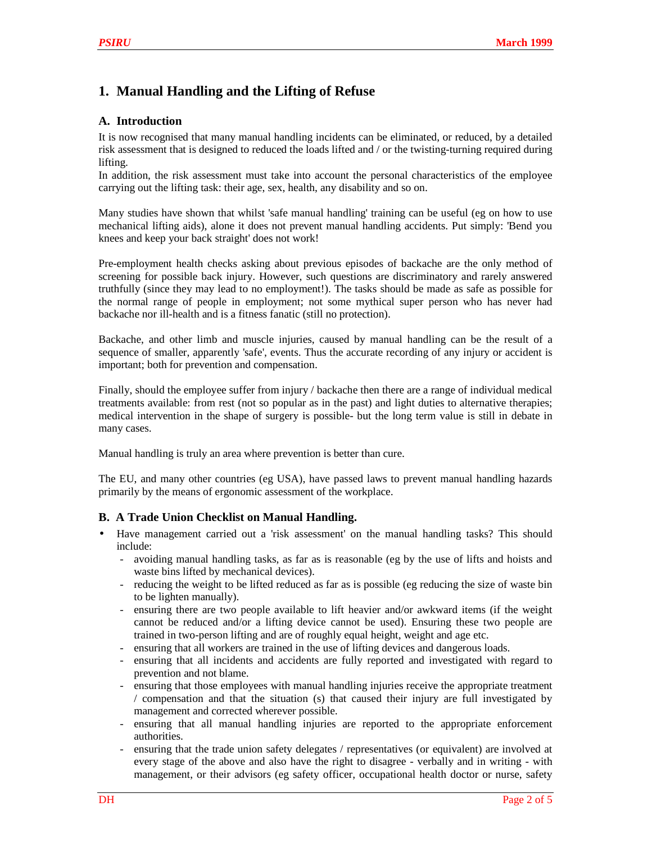# **1. Manual Handling and the Lifting of Refuse**

## **A. Introduction**

It is now recognised that many manual handling incidents can be eliminated, or reduced, by a detailed risk assessment that is designed to reduced the loads lifted and / or the twisting-turning required during lifting.

In addition, the risk assessment must take into account the personal characteristics of the employee carrying out the lifting task: their age, sex, health, any disability and so on.

Many studies have shown that whilst 'safe manual handling' training can be useful (eg on how to use mechanical lifting aids), alone it does not prevent manual handling accidents. Put simply: 'Bend you knees and keep your back straight' does not work!

Pre-employment health checks asking about previous episodes of backache are the only method of screening for possible back injury. However, such questions are discriminatory and rarely answered truthfully (since they may lead to no employment!). The tasks should be made as safe as possible for the normal range of people in employment; not some mythical super person who has never had backache nor ill-health and is a fitness fanatic (still no protection).

Backache, and other limb and muscle injuries, caused by manual handling can be the result of a sequence of smaller, apparently 'safe', events. Thus the accurate recording of any injury or accident is important; both for prevention and compensation.

Finally, should the employee suffer from injury / backache then there are a range of individual medical treatments available: from rest (not so popular as in the past) and light duties to alternative therapies; medical intervention in the shape of surgery is possible- but the long term value is still in debate in many cases.

Manual handling is truly an area where prevention is better than cure.

The EU, and many other countries (eg USA), have passed laws to prevent manual handling hazards primarily by the means of ergonomic assessment of the workplace.

### **B. A Trade Union Checklist on Manual Handling.**

- Have management carried out a 'risk assessment' on the manual handling tasks? This should include:
	- avoiding manual handling tasks, as far as is reasonable (eg by the use of lifts and hoists and waste bins lifted by mechanical devices).
	- reducing the weight to be lifted reduced as far as is possible (eg reducing the size of waste bin to be lighten manually).
	- ensuring there are two people available to lift heavier and/or awkward items (if the weight cannot be reduced and/or a lifting device cannot be used). Ensuring these two people are trained in two-person lifting and are of roughly equal height, weight and age etc.
	- ensuring that all workers are trained in the use of lifting devices and dangerous loads.
	- ensuring that all incidents and accidents are fully reported and investigated with regard to prevention and not blame.
	- ensuring that those employees with manual handling injuries receive the appropriate treatment / compensation and that the situation (s) that caused their injury are full investigated by management and corrected wherever possible.
	- ensuring that all manual handling injuries are reported to the appropriate enforcement authorities.
	- ensuring that the trade union safety delegates / representatives (or equivalent) are involved at every stage of the above and also have the right to disagree - verbally and in writing - with management, or their advisors (eg safety officer, occupational health doctor or nurse, safety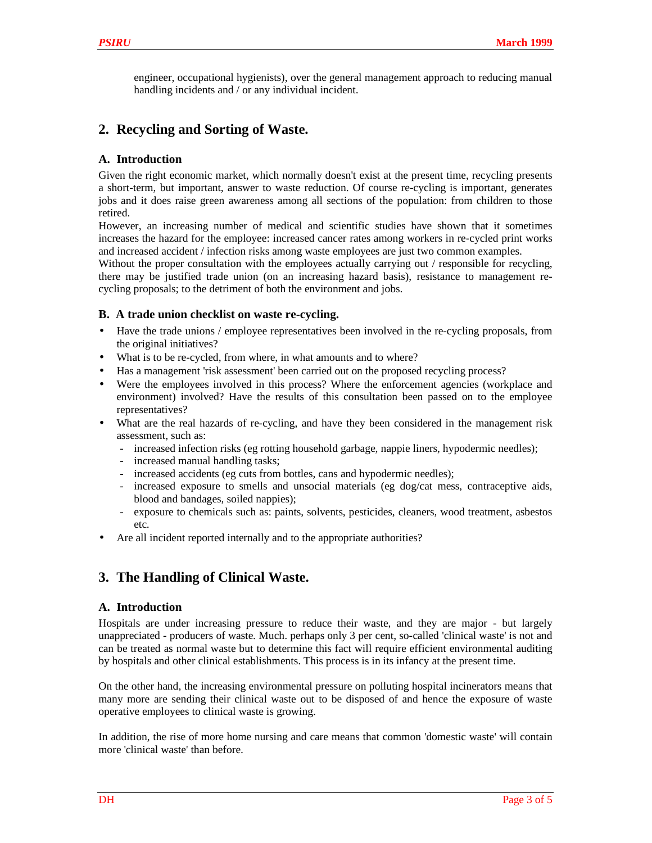engineer, occupational hygienists), over the general management approach to reducing manual handling incidents and / or any individual incident.

# **2. Recycling and Sorting of Waste.**

## **A. Introduction**

Given the right economic market, which normally doesn't exist at the present time, recycling presents a short-term, but important, answer to waste reduction. Of course re-cycling is important, generates jobs and it does raise green awareness among all sections of the population: from children to those retired.

However, an increasing number of medical and scientific studies have shown that it sometimes increases the hazard for the employee: increased cancer rates among workers in re-cycled print works and increased accident / infection risks among waste employees are just two common examples.

Without the proper consultation with the employees actually carrying out / responsible for recycling, there may be justified trade union (on an increasing hazard basis), resistance to management recycling proposals; to the detriment of both the environment and jobs.

### **B. A trade union checklist on waste re-cycling.**

- Have the trade unions / employee representatives been involved in the re-cycling proposals, from the original initiatives?
- What is to be re-cycled, from where, in what amounts and to where?
- Has a management 'risk assessment' been carried out on the proposed recycling process?
- Were the employees involved in this process? Where the enforcement agencies (workplace and environment) involved? Have the results of this consultation been passed on to the employee representatives?
- What are the real hazards of re-cycling, and have they been considered in the management risk assessment, such as:
	- increased infection risks (eg rotting household garbage, nappie liners, hypodermic needles);
	- increased manual handling tasks;
	- increased accidents (eg cuts from bottles, cans and hypodermic needles);
	- increased exposure to smells and unsocial materials (eg dog/cat mess, contraceptive aids, blood and bandages, soiled nappies);
	- exposure to chemicals such as: paints, solvents, pesticides, cleaners, wood treatment, asbestos etc.
- Are all incident reported internally and to the appropriate authorities?

## **3. The Handling of Clinical Waste.**

### **A. Introduction**

Hospitals are under increasing pressure to reduce their waste, and they are major - but largely unappreciated - producers of waste. Much. perhaps only 3 per cent, so-called 'clinical waste' is not and can be treated as normal waste but to determine this fact will require efficient environmental auditing by hospitals and other clinical establishments. This process is in its infancy at the present time.

On the other hand, the increasing environmental pressure on polluting hospital incinerators means that many more are sending their clinical waste out to be disposed of and hence the exposure of waste operative employees to clinical waste is growing.

In addition, the rise of more home nursing and care means that common 'domestic waste' will contain more 'clinical waste' than before.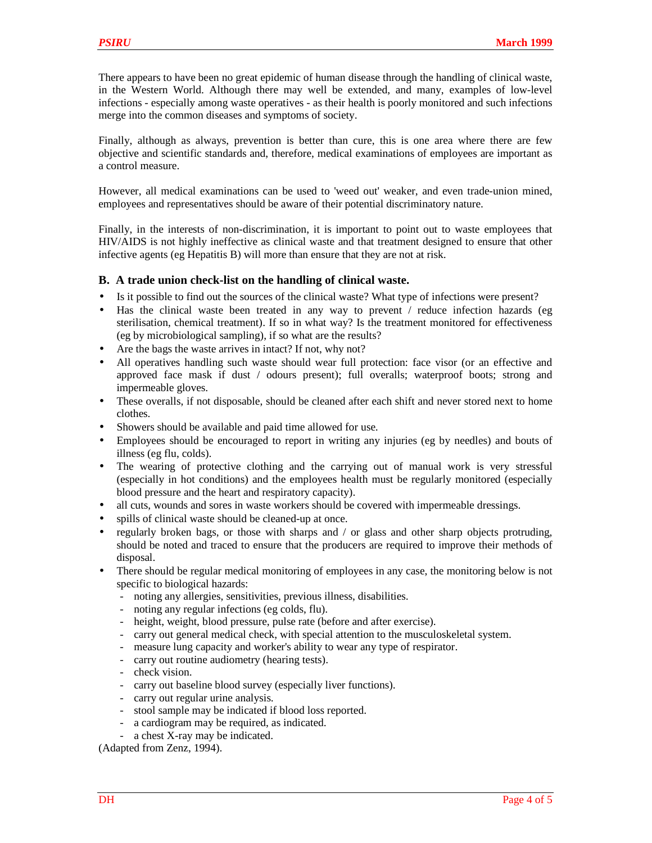There appears to have been no great epidemic of human disease through the handling of clinical waste, in the Western World. Although there may well be extended, and many, examples of low-level infections - especially among waste operatives - as their health is poorly monitored and such infections merge into the common diseases and symptoms of society.

Finally, although as always, prevention is better than cure, this is one area where there are few objective and scientific standards and, therefore, medical examinations of employees are important as a control measure.

However, all medical examinations can be used to 'weed out' weaker, and even trade-union mined, employees and representatives should be aware of their potential discriminatory nature.

Finally, in the interests of non-discrimination, it is important to point out to waste employees that HIV/AIDS is not highly ineffective as clinical waste and that treatment designed to ensure that other infective agents (eg Hepatitis B) will more than ensure that they are not at risk.

#### **B. A trade union check-list on the handling of clinical waste.**

- Is it possible to find out the sources of the clinical waste? What type of infections were present?
- Has the clinical waste been treated in any way to prevent / reduce infection hazards (eg sterilisation, chemical treatment). If so in what way? Is the treatment monitored for effectiveness (eg by microbiological sampling), if so what are the results?
- Are the bags the waste arrives in intact? If not, why not?
- All operatives handling such waste should wear full protection: face visor (or an effective and approved face mask if dust / odours present); full overalls; waterproof boots; strong and impermeable gloves.
- These overalls, if not disposable, should be cleaned after each shift and never stored next to home clothes.
- Showers should be available and paid time allowed for use.
- Employees should be encouraged to report in writing any injuries (eg by needles) and bouts of illness (eg flu, colds).
- The wearing of protective clothing and the carrying out of manual work is very stressful (especially in hot conditions) and the employees health must be regularly monitored (especially blood pressure and the heart and respiratory capacity).
- all cuts, wounds and sores in waste workers should be covered with impermeable dressings.
- spills of clinical waste should be cleaned-up at once.
- regularly broken bags, or those with sharps and / or glass and other sharp objects protruding, should be noted and traced to ensure that the producers are required to improve their methods of disposal.
- There should be regular medical monitoring of employees in any case, the monitoring below is not specific to biological hazards:
	- noting any allergies, sensitivities, previous illness, disabilities.
	- noting any regular infections (eg colds, flu).
	- height, weight, blood pressure, pulse rate (before and after exercise).
	- carry out general medical check, with special attention to the musculoskeletal system.
	- measure lung capacity and worker's ability to wear any type of respirator.
	- carry out routine audiometry (hearing tests).
	- check vision.
	- carry out baseline blood survey (especially liver functions).
	- carry out regular urine analysis.
	- stool sample may be indicated if blood loss reported.
	- a cardiogram may be required, as indicated.
	- a chest X-ray may be indicated.

(Adapted from Zenz, 1994).